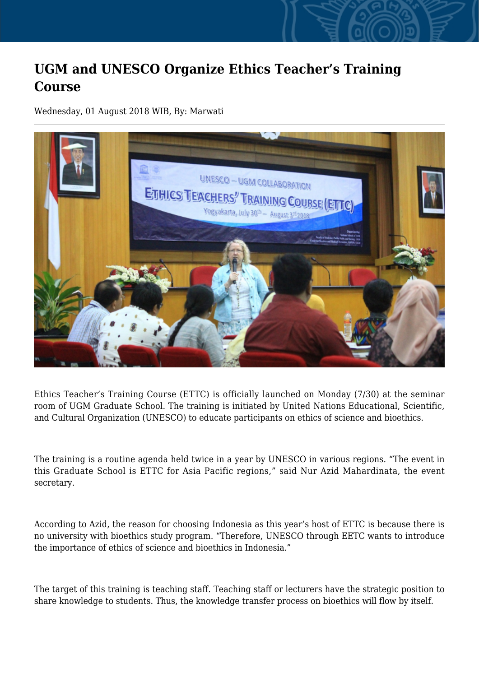## **UGM and UNESCO Organize Ethics Teacher's Training Course**

Wednesday, 01 August 2018 WIB, By: Marwati



Ethics Teacher's Training Course (ETTC) is officially launched on Monday (7/30) at the seminar room of UGM Graduate School. The training is initiated by United Nations Educational, Scientific, and Cultural Organization (UNESCO) to educate participants on ethics of science and bioethics.

The training is a routine agenda held twice in a year by UNESCO in various regions. "The event in this Graduate School is ETTC for Asia Pacific regions," said Nur Azid Mahardinata, the event secretary.

According to Azid, the reason for choosing Indonesia as this year's host of ETTC is because there is no university with bioethics study program. "Therefore, UNESCO through EETC wants to introduce the importance of ethics of science and bioethics in Indonesia."

The target of this training is teaching staff. Teaching staff or lecturers have the strategic position to share knowledge to students. Thus, the knowledge transfer process on bioethics will flow by itself.